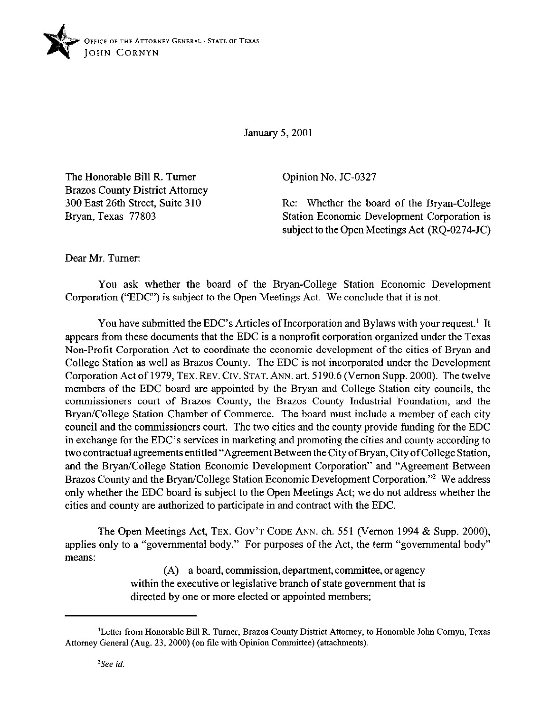

January 5,200l

The Honorable Bill R. Turner Brazos County District Attorney 300 East 26th Street, Suite 310 Bryan, Texas 77803

Opinion No. JC-0327

Re: Whether the board of the Bryan-College Station Economic Development Corporation is subject to the Open Meetings Act (RQ-0274-JC)

Dear Mr. Turner:

You ask whether the board of the Bryan-College Station Economic Development Corporation ("EDC") is subject to the Open Meetings Act. We conclude that it is not.

You have submitted the EDC's Articles of Incorporation and Bylaws with your request.' It appears from these documents that the EDC is a nonprofit corporation organized under the Texas Non-Profit Corporation Act to coordinate the economic development of the cities of Bryan and College Station as well as Brazos County. The EDC is not incorporated under the Development Corporation Act of 1979, TEX. REV. CIV. STAT. ANN. art. 5 190.6 (Vernon Supp. 2000). The twelve members of the EDC board are appointed by the Bryan and College Station city councils, the commissioners court of Brazes County, the Brazes County Industrial Foundation, and the Bryan/College Station Chamber of Commerce. The board must include a member of each city council and the commissioners court. The two cities and the county provide funding for the EDC in exchange for the EDC's services in marketing and promoting the cities and county according to two contractual agreements entitled "Agreement Between the City of Bryan, City of College Station, and the Bryan/College Station Economic Development Corporation" and "Agreement Between Brazos County and the Bryan/College Station Economic Development Corporation."<sup>2</sup> We address only whether the EDC board is subject to the Open Meetings Act; we do not address whether the cities and county are authorized to participate in and contract with the EDC.

The Open Meetings Act, TEX. GOV'T CODE ANN. ch. 551 (Vernon 1994 & Supp. 2000), applies only to a "governmental body." For purposes of the Act, the term "governmental body" means:

> (A) a board, commission, department, committee, or agency within the executive or legislative branch of state government that is directed by one or more elected or appointed members;

<sup>&#</sup>x27;Letter from Honorable Bill R. Turner, Brazes County District Attorney, to Honorable John Comyn, Texas Attorney General (Aug. 23, 2000) (on file with Opinion Committee) (attachments).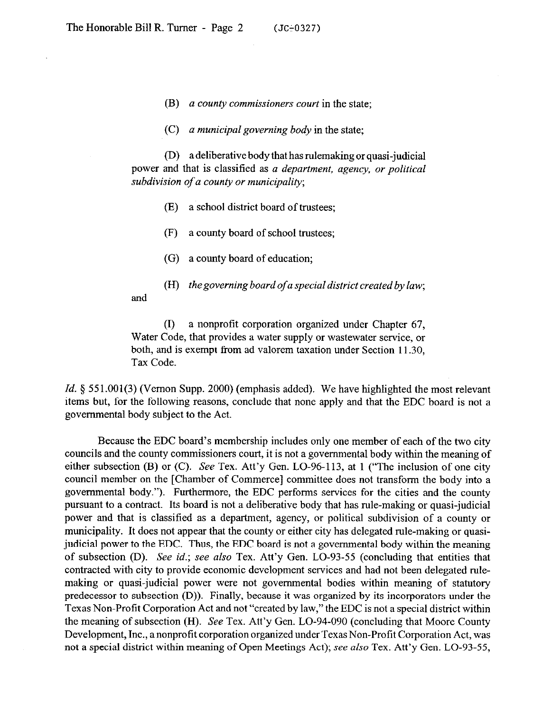- (B) a county *commissioners court* in the state;
- *(C) a municipal governing body* in the state;

(D) a deliberative body that has rulemaking or quasi-judicial power and that is classified as *a department, agency, or political subdivision of a county or municipality;* 

- *09* a school district board of trustees;
- (F) a county board of school trustees;
- (G) a county board of education;
- (H) *thegoverning board of a special district created by law;*

and

(1) a nonprofit corporation organized under Chapter 67, Water Code, that provides a water supply or wastewater service, or both, and is exempt from ad valorem taxation under Section 11.30, Tax Code.

*Id.* § 551.001(3) (Vernon Supp. 2000) (emphasis added). We have highlighted the most relevant items but, for the following reasons, conclude that none apply and that the EDC board is not a governmental body subject to the Act.

Because the EDC board's membership includes only one member of each of the two city councils and the county commissioners court, it is not a governmental body within the meaning of either subsection (B) or (C). See Tex. Att'y Gen. LO-96-113, at 1 ("The inclusion of one city council member on the [Chamber of Commerce] committee does not transform the body into a governmental body."). Furthermore, the EDC performs services for the cities and the county pursuant to a contract. Its board is not a deliberative body that has rule-making or quasi-judicial power and that is classified as a department, agency, or political subdivision of a county or municipality. It does not appear that the county or either city has delegated rule-making or quasijudicial power to the EDC. Thus, the EDC board is not a governmental body within the meaning of subsection (D). See *id.;* see also Tex. Att'y Gen. LO-93-55 (concluding that entities that contracted with city to provide economic development services and had not been delegated ndemaking or quasi-judicial power were not governmental bodies within meaning of statutory predecessor to subsection (D)). Finally, because it was organized by its incorporators under the Texas Non-Profit Corporation Act and not "created by law," the EDC is not a special district within the meaning of subsection (H). See Tex. Att'y Gen. LO-94-090 (concluding that Moore County Development, Inc., anonprotit corporation organized under Texas Non-Profit Corporation Act, was not a special district within meaning of Open Meetings Act); see *also* Tex. Att'y Gen. LO-93-55,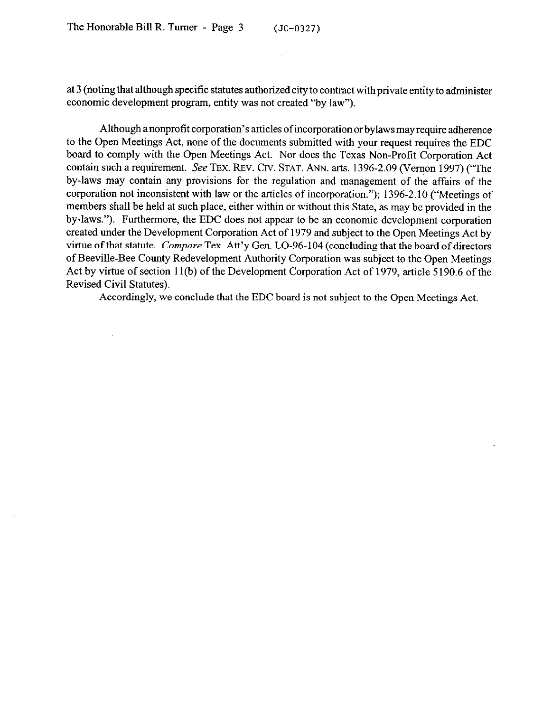$\bar{z}$ 

at 3 (noting that although specific statutes authorized city to contract with private entity to administer economic development program, entity was not created "by law").

Although a nonprofit corporation's articles of incorporation or bylaws may require adherence to the Open Meetings Act, none of the documents submitted with your request requires the EDC board to comply with the Open Meetings Act. Nor does the Texas Non-Profit Corporation Act contain such a requirement. See TEX. REV. CIV. STAT. ANN. arts. 1396-2.09 (Vernon 1997) ("The by-laws may contain any provisions for the regulation and management of the affairs of the corporation not inconsistent with law or the articles of incorporation."); 1396-2.10 ("Meetings of members shall be held at such place, either within or without this State, as may be provided in the by-laws."). Furthermore, the EDC does not appear to be an economic development corporation created under the Development Corporation Act of 1979 and subject to the Open Meetings Act by virtue of that statute. *Compare* Tex. Att'y Gen. LO-96-104 (concluding that the board of directors of Beeville-Bee County Redevelopment Authority Corporation was subject to the Open Meetings Act by virtue of section 11(b) of the Development Corporation Act of 1979, article 5190.6 of the Revised Civil Statutes).

Accordingly, we conclude that the EDC board is not subject to the Open Meetings Act.